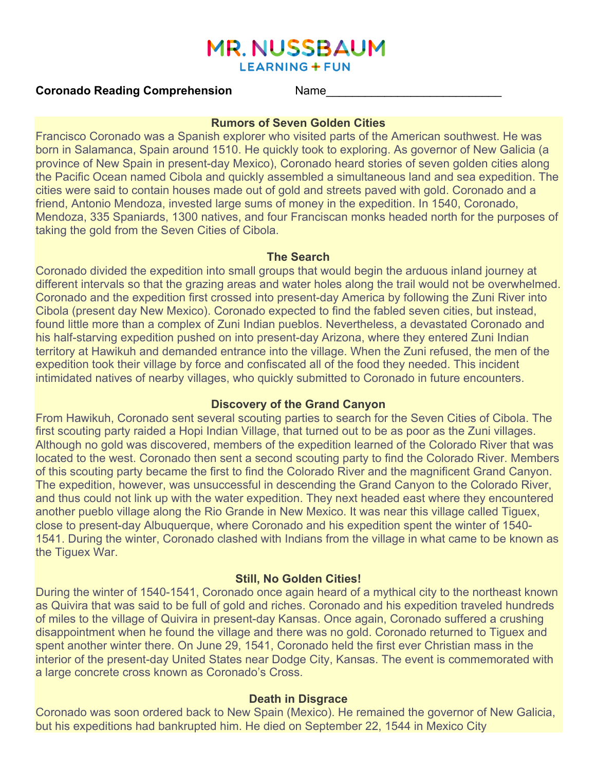# **MR. NUSSBAUM**

**LEARNING + FUN** 

## **Coronado Reading Comprehension Mame**

#### **Rumors of Seven Golden Cities**

Francisco Coronado was a Spanish explorer who visited parts of the American southwest. He was born in Salamanca, Spain around 1510. He quickly took to exploring. As governor of New Galicia (a province of New Spain in present-day Mexico), Coronado heard stories of seven golden cities along the Pacific Ocean named Cibola and quickly assembled a simultaneous land and sea expedition. The cities were said to contain houses made out of gold and streets paved with gold. Coronado and a friend, Antonio Mendoza, invested large sums of money in the expedition. In 1540, Coronado, Mendoza, 335 Spaniards, 1300 natives, and four Franciscan monks headed north for the purposes of taking the gold from the Seven Cities of Cibola.

#### **The Search**

Coronado divided the expedition into small groups that would begin the arduous inland journey at different intervals so that the grazing areas and water holes along the trail would not be overwhelmed. Coronado and the expedition first crossed into present-day America by following the Zuni River into Cibola (present day New Mexico). Coronado expected to find the fabled seven cities, but instead, found little more than a complex of Zuni Indian pueblos. Nevertheless, a devastated Coronado and his half-starving expedition pushed on into present-day Arizona, where they entered Zuni Indian territory at Hawikuh and demanded entrance into the village. When the Zuni refused, the men of the expedition took their village by force and confiscated all of the food they needed. This incident intimidated natives of nearby villages, who quickly submitted to Coronado in future encounters.

#### **Discovery of the Grand Canyon**

From Hawikuh, Coronado sent several scouting parties to search for the Seven Cities of Cibola. The first scouting party raided a Hopi Indian Village, that turned out to be as poor as the Zuni villages. Although no gold was discovered, members of the expedition learned of the Colorado River that was located to the west. Coronado then sent a second scouting party to find the Colorado River. Members of this scouting party became the first to find the Colorado River and the magnificent Grand Canyon. The expedition, however, was unsuccessful in descending the Grand Canyon to the Colorado River, and thus could not link up with the water expedition. They next headed east where they encountered another pueblo village along the Rio Grande in New Mexico. It was near this village called Tiguex, close to present-day Albuquerque, where Coronado and his expedition spent the winter of 1540- 1541. During the winter, Coronado clashed with Indians from the village in what came to be known as the Tiguex War.

## **Still, No Golden Cities!**

During the winter of 1540-1541, Coronado once again heard of a mythical city to the northeast known as Quivira that was said to be full of gold and riches. Coronado and his expedition traveled hundreds of miles to the village of Quivira in present-day Kansas. Once again, Coronado suffered a crushing disappointment when he found the village and there was no gold. Coronado returned to Tiguex and spent another winter there. On June 29, 1541, Coronado held the first ever Christian mass in the interior of the present-day United States near Dodge City, Kansas. The event is commemorated with a large concrete cross known as Coronado's Cross.

#### **Death in Disgrace**

Coronado was soon ordered back to New Spain (Mexico). He remained the governor of New Galicia, but his expeditions had bankrupted him. He died on September 22, 1544 in Mexico City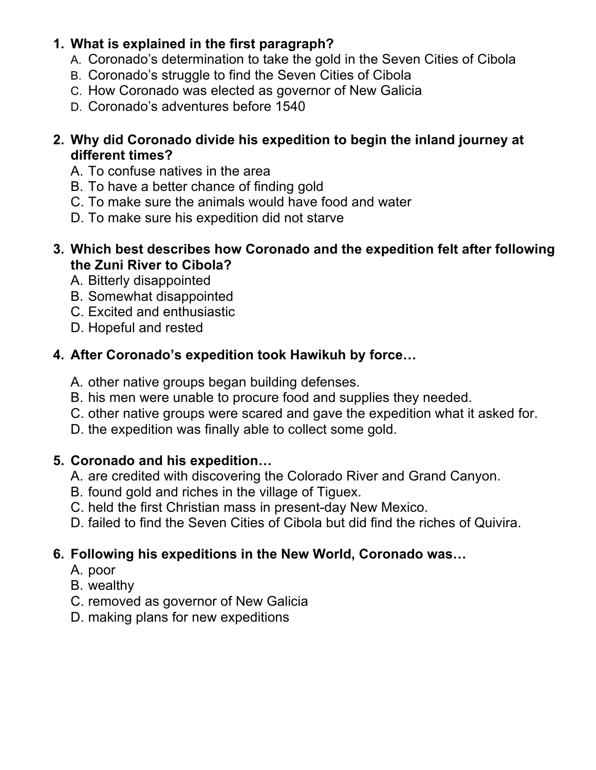## **1. What is explained in the first paragraph?**

- A. Coronado's determination to take the gold in the Seven Cities of Cibola
- B. Coronado's struggle to find the Seven Cities of Cibola
- C. How Coronado was elected as governor of New Galicia
- D. Coronado's adventures before 1540
- **2. Why did Coronado divide his expedition to begin the inland journey at different times?** 
	- A. To confuse natives in the area
	- B. To have a better chance of finding gold
	- C. To make sure the animals would have food and water
	- D. To make sure his expedition did not starve
- **3. Which best describes how Coronado and the expedition felt after following the Zuni River to Cibola?**
	- A. Bitterly disappointed
	- B. Somewhat disappointed
	- C. Excited and enthusiastic
	- D. Hopeful and rested

## **4. After Coronado's expedition took Hawikuh by force…**

- A. other native groups began building defenses.
- B. his men were unable to procure food and supplies they needed.
- C. other native groups were scared and gave the expedition what it asked for.
- D. the expedition was finally able to collect some gold.

## **5. Coronado and his expedition…**

- A. are credited with discovering the Colorado River and Grand Canyon.
- B. found gold and riches in the village of Tiguex.
- C. held the first Christian mass in present-day New Mexico.
- D. failed to find the Seven Cities of Cibola but did find the riches of Quivira.

# **6. Following his expeditions in the New World, Coronado was…**

- A. poor
- B. wealthy
- C. removed as governor of New Galicia
- D. making plans for new expeditions